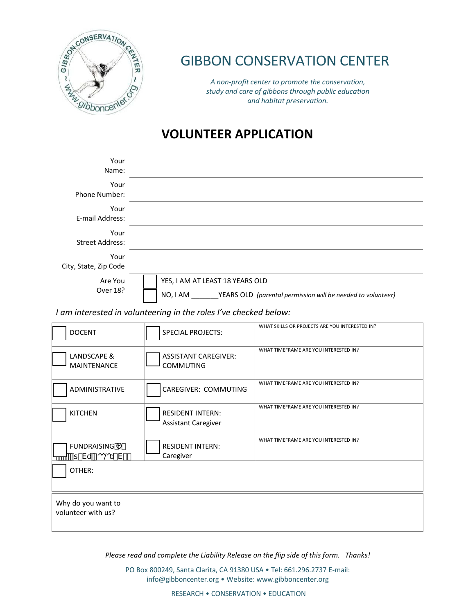

## GIBBON CONSERVATION CENTER

*A non-profit center to promote the conservation, study and care of gibbons through public education and habitat preservation.*

## **VOLUNTEER APPLICATION**

| Your<br>Name:                  |                                 |
|--------------------------------|---------------------------------|
| Your<br>Phone Number:          |                                 |
| Your<br>E-mail Address:        |                                 |
| Your<br><b>Street Address:</b> |                                 |
| Your<br>City, State, Zip Code  |                                 |
| Are You<br>Over 18?            | YES, I AM AT LEAST 18 YEARS OLD |

NO, I AM \_\_\_\_\_\_\_YEARS OLD *(parental permission will be needed to volunteer)*

## *I am interested in volunteering in the roles I've checked below:*

| <b>DOCENT</b>                                     | <b>SPECIAL PROJECTS:</b>                              | WHAT SKILLS OR PROJECTS ARE YOU INTERESTED IN? |
|---------------------------------------------------|-------------------------------------------------------|------------------------------------------------|
| LANDSCAPE &<br><b>MAINTENANCE</b>                 | <b>ASSISTANT CAREGIVER:</b><br><b>COMMUTING</b>       | WHAT TIMEFRAME ARE YOU INTERESTED IN?          |
| <b>ADMINISTRATIVE</b>                             | CAREGIVER: COMMUTING                                  | WHAT TIMEFRAME ARE YOU INTERESTED IN?          |
| <b>KITCHEN</b>                                    | <b>RESIDENT INTERN:</b><br><b>Assistant Caregiver</b> | WHAT TIMEFRAME ARE YOU INTERESTED IN?          |
| <b>FUNDRAISING</b><br>-†-Vu <sup>*</sup> coou*V#- | <b>RESIDENT INTERN:</b><br>Caregiver                  | WHAT TIMEFRAME ARE YOU INTERESTED IN?          |
| OTHER:                                            |                                                       |                                                |
| Why do you want to<br>volunteer with us?          |                                                       |                                                |

*Please read and complete the Liability Release on the flip side of this form. Thanks!*

PO Box 800249, Santa Clarita, CA 91380 USA • Tel: 661.296.2737 E-mail: info@gibboncenter.org • Website: www.gibboncenter.org